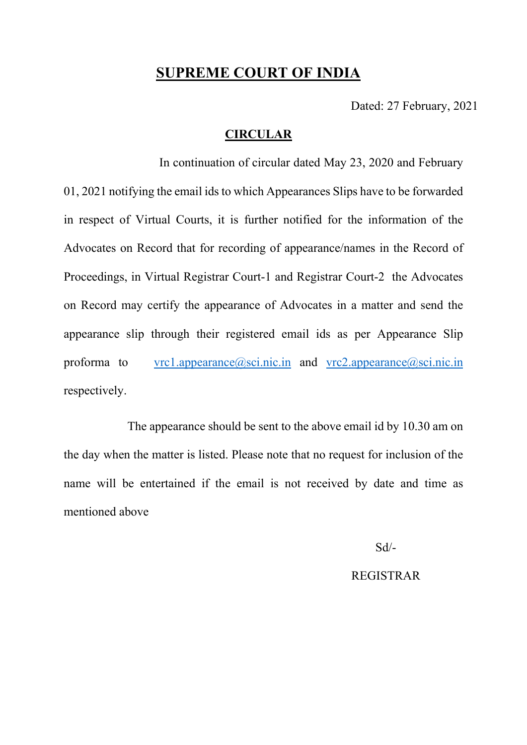# **SUPREME COURT OF INDIA**

Dated: 27 February, 2021

### **CIRCULAR**

In continuation of circular dated May 23, 2020 and February 01, 2021 notifying the email ids to which Appearances Slips have to be forwarded in respect of Virtual Courts, it is further notified for the information of the Advocates on Record that for recording of appearance/names in the Record of Proceedings, in Virtual Registrar Court-1 and Registrar Court-2 the Advocates on Record may certify the appearance of Advocates in a matter and send the appearance slip through their registered email ids as per Appearance Slip proforma to [vrc1.appearance@sci.nic.in](mailto:VRC1.appearance@sci.nic.in) and [vrc2.appearance@sci.nic.in](mailto:VRC2.appearance@sci.nic.in) respectively.

The appearance should be sent to the above email id by 10.30 am on the day when the matter is listed. Please note that no request for inclusion of the name will be entertained if the email is not received by date and time as mentioned above

Sd/-

### REGISTRAR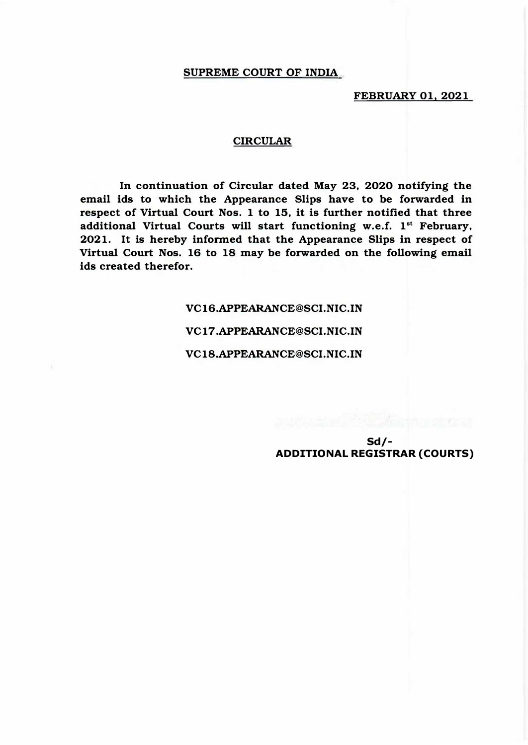#### **SUPREME COURT OF INDIA**

**FEBRUARY 01, 2021** 

#### **CIRCULAR**

**In continuation of Circular dated May 23, 2020 notifying the email ids to which the Appearance Slips have to be forwarded in respect of Virtual Court Nos. 1 to 15, it is further notified that three**  additional Virtual Courts will start functioning w.e.f. 1<sup>st</sup> February, **2021. It is hereby informed that the Appearance Slips in respect of Virtual Court Nos. 16 to 18 may be forwarded on the following email ids created therefor.** 

> **VC16.APPEARANCE@SCI.NIC.IN VC 17 .APPEARANCE@SCI.NIC.IN VC18.APPEARANCE@SCI.NIC.IN**

> > **Sd/- ADDITIONAL REGISTRAR (COURTS)**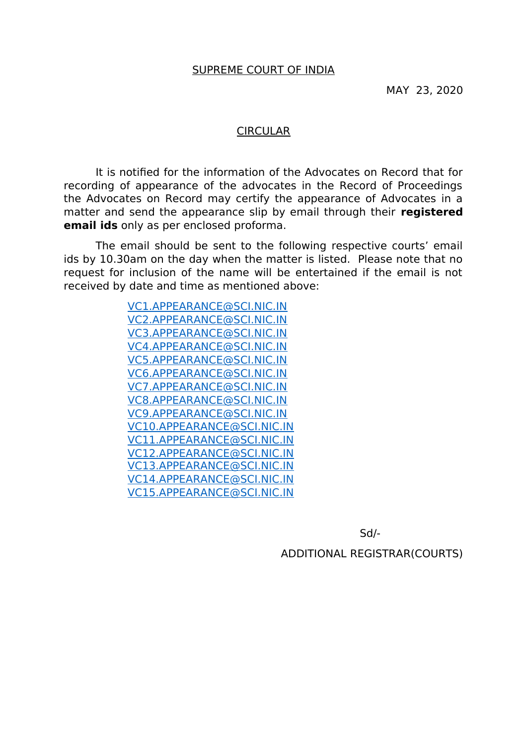### **CIRCULAR**

It is notified for the information of the Advocates on Record that for recording of appearance of the advocates in the Record of Proceedings the Advocates on Record may certify the appearance of Advocates in a matter and send the appearance slip by email through their **registered email ids** only as per enclosed proforma.

The email should be sent to the following respective courts' email ids by 10.30am on the day when the matter is listed. Please note that no request for inclusion of the name will be entertained if the email is not received by date and time as mentioned above:

> [VC1.APPEARANCE@SCI.NIC.IN](mailto:VC1.APPEARANCE@SCI.NIC.IN) [VC2.APPEARANCE@SCI.NIC.IN](mailto:VC2.APPEARANCE@SCI.NIC.IN) [VC3.APPEARANCE@SCI.NIC.IN](mailto:VC3.APPEARANCE@SCI.NIC.IN) [VC4.APPEARANCE@SCI.NIC.IN](mailto:VC4.APPEARANCE@SCI.NIC.IN) [VC5.APPEARANCE@SCI.NIC.IN](mailto:VC5.APPEARANCE@SCI.NIC.IN) [VC6.APPEARANCE@SCI.NIC.IN](mailto:VC6.APPEARANCE@SCI.NIC.IN) [VC7.APPEARANCE@SCI.NIC.IN](mailto:VC7.APPEARANCE@SCI.NIC.IN) [VC8.APPEARANCE@SCI.NIC.IN](mailto:VC8.APPEARANCE@SCI.NIC.IN) [VC9.APPEARANCE@SCI.NIC.IN](mailto:VC9.APPEARANCE@SCI.NIC.IN) [VC10.APPEARANCE@SCI.NIC.IN](mailto:VC10.APPEARANCE@SCI.NIC.IN) [VC11.APPEARANCE@SCI.NIC.IN](mailto:VC11.APPEARANCE@SCI.NIC.IN) [VC12.APPEARANCE@SCI.NIC.IN](mailto:VC12.APPEARANCE@SCI.NIC.IN) [VC13.APPEARANCE@SCI.NIC.IN](mailto:VC13.APPEARANCE@SCI.NIC.IN) [VC14.APPEARANCE@SCI.NIC.IN](mailto:VC14.APPEARANCE@SCI.NIC.IN) [VC15.APPEARANCE@SCI.NIC.IN](mailto:VC15.APPEARANCE@SCI.NIC.IN)

> > Sd/-

ADDITIONAL REGISTRAR(COURTS)